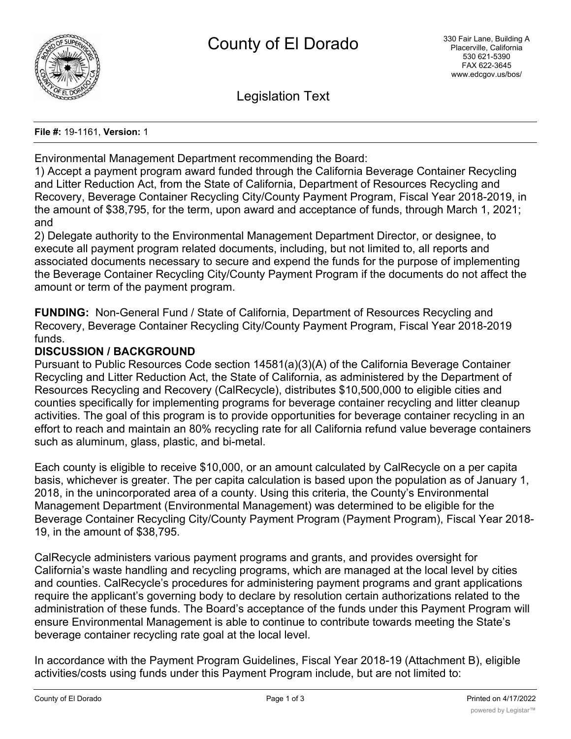

Legislation Text

**File #:** 19-1161, **Version:** 1

Environmental Management Department recommending the Board:

1) Accept a payment program award funded through the California Beverage Container Recycling and Litter Reduction Act, from the State of California, Department of Resources Recycling and Recovery, Beverage Container Recycling City/County Payment Program, Fiscal Year 2018-2019, in the amount of \$38,795, for the term, upon award and acceptance of funds, through March 1, 2021; and

2) Delegate authority to the Environmental Management Department Director, or designee, to execute all payment program related documents, including, but not limited to, all reports and associated documents necessary to secure and expend the funds for the purpose of implementing the Beverage Container Recycling City/County Payment Program if the documents do not affect the amount or term of the payment program.

**FUNDING:** Non-General Fund / State of California, Department of Resources Recycling and Recovery, Beverage Container Recycling City/County Payment Program, Fiscal Year 2018-2019 funds.

## **DISCUSSION / BACKGROUND**

Pursuant to Public Resources Code section 14581(a)(3)(A) of the California Beverage Container Recycling and Litter Reduction Act, the State of California, as administered by the Department of Resources Recycling and Recovery (CalRecycle), distributes \$10,500,000 to eligible cities and counties specifically for implementing programs for beverage container recycling and litter cleanup activities. The goal of this program is to provide opportunities for beverage container recycling in an effort to reach and maintain an 80% recycling rate for all California refund value beverage containers such as aluminum, glass, plastic, and bi-metal.

Each county is eligible to receive \$10,000, or an amount calculated by CalRecycle on a per capita basis, whichever is greater. The per capita calculation is based upon the population as of January 1, 2018, in the unincorporated area of a county. Using this criteria, the County's Environmental Management Department (Environmental Management) was determined to be eligible for the Beverage Container Recycling City/County Payment Program (Payment Program), Fiscal Year 2018- 19, in the amount of \$38,795.

CalRecycle administers various payment programs and grants, and provides oversight for California's waste handling and recycling programs, which are managed at the local level by cities and counties. CalRecycle's procedures for administering payment programs and grant applications require the applicant's governing body to declare by resolution certain authorizations related to the administration of these funds. The Board's acceptance of the funds under this Payment Program will ensure Environmental Management is able to continue to contribute towards meeting the State's beverage container recycling rate goal at the local level.

In accordance with the Payment Program Guidelines, Fiscal Year 2018-19 (Attachment B), eligible activities/costs using funds under this Payment Program include, but are not limited to: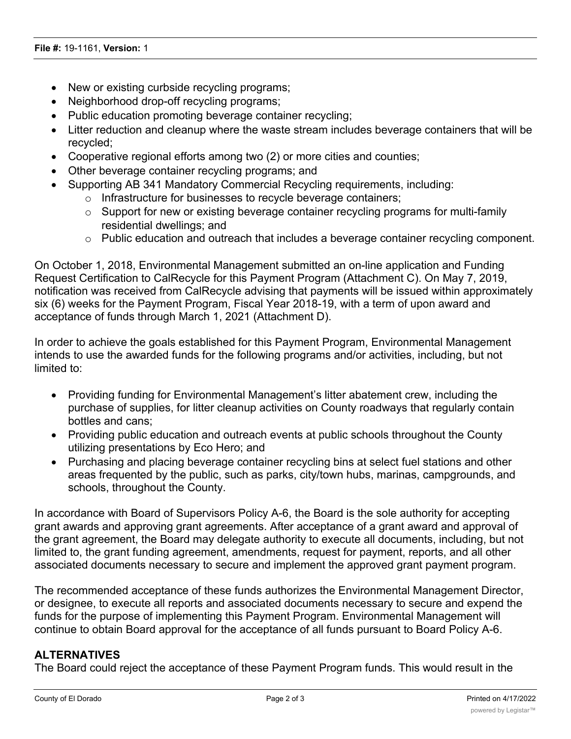- · New or existing curbside recycling programs;
- Neighborhood drop-off recycling programs;
- · Public education promoting beverage container recycling;
- · Litter reduction and cleanup where the waste stream includes beverage containers that will be recycled;
- · Cooperative regional efforts among two (2) or more cities and counties;
- · Other beverage container recycling programs; and
- · Supporting AB 341 Mandatory Commercial Recycling requirements, including:
	- o Infrastructure for businesses to recycle beverage containers;
	- $\circ$  Support for new or existing beverage container recycling programs for multi-family residential dwellings; and
	- o Public education and outreach that includes a beverage container recycling component.

On October 1, 2018, Environmental Management submitted an on-line application and Funding Request Certification to CalRecycle for this Payment Program (Attachment C). On May 7, 2019, notification was received from CalRecycle advising that payments will be issued within approximately six (6) weeks for the Payment Program, Fiscal Year 2018-19, with a term of upon award and acceptance of funds through March 1, 2021 (Attachment D).

In order to achieve the goals established for this Payment Program, Environmental Management intends to use the awarded funds for the following programs and/or activities, including, but not limited to:

- · Providing funding for Environmental Management's litter abatement crew, including the purchase of supplies, for litter cleanup activities on County roadways that regularly contain bottles and cans;
- Providing public education and outreach events at public schools throughout the County utilizing presentations by Eco Hero; and
- · Purchasing and placing beverage container recycling bins at select fuel stations and other areas frequented by the public, such as parks, city/town hubs, marinas, campgrounds, and schools, throughout the County.

In accordance with Board of Supervisors Policy A-6, the Board is the sole authority for accepting grant awards and approving grant agreements. After acceptance of a grant award and approval of the grant agreement, the Board may delegate authority to execute all documents, including, but not limited to, the grant funding agreement, amendments, request for payment, reports, and all other associated documents necessary to secure and implement the approved grant payment program.

The recommended acceptance of these funds authorizes the Environmental Management Director, or designee, to execute all reports and associated documents necessary to secure and expend the funds for the purpose of implementing this Payment Program. Environmental Management will continue to obtain Board approval for the acceptance of all funds pursuant to Board Policy A-6.

# **ALTERNATIVES**

The Board could reject the acceptance of these Payment Program funds. This would result in the